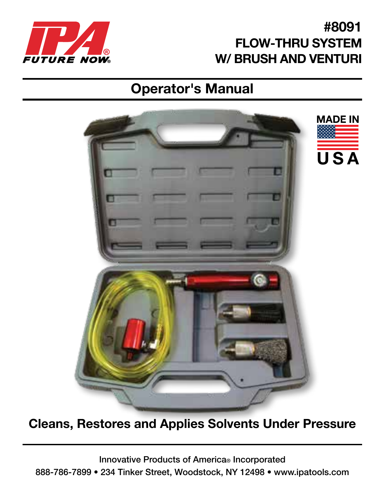

### #8091 FLOW-THRU SYSTEM W/ BRUSH AND VENTURI

# Operator's Manual



#### Cleans, Restores and Applies Solvents Under Pressure

Innovative Products of America® Incorporated 888-786-7899 • 234 Tinker Street, Woodstock, NY 12498 • www.ipatools.com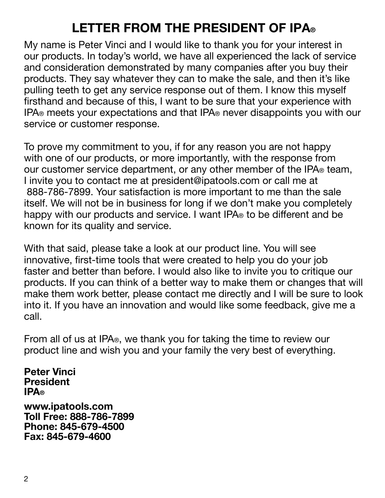## LETTER FROM THE PRESIDENT OF IPA®

My name is Peter Vinci and I would like to thank you for your interest in our products. In today's world, we have all experienced the lack of service and consideration demonstrated by many companies after you buy their products. They say whatever they can to make the sale, and then it's like pulling teeth to get any service response out of them. I know this myself firsthand and because of this, I want to be sure that your experience with IPA® meets your expectations and that IPA® never disappoints you with our service or customer response.

To prove my commitment to you, if for any reason you are not happy with one of our products, or more importantly, with the response from our customer service department, or any other member of the IPA® team, I invite you to contact me at president@ipatools.com or call me at 888-786-7899. Your satisfaction is more important to me than the sale itself. We will not be in business for long if we don't make you completely happy with our products and service. I want IPA® to be different and be known for its quality and service.

With that said, please take a look at our product line. You will see innovative, first-time tools that were created to help you do your job faster and better than before. I would also like to invite you to critique our products. If you can think of a better way to make them or changes that will make them work better, please contact me directly and I will be sure to look into it. If you have an innovation and would like some feedback, give me a call.

From all of us at IPA®, we thank you for taking the time to review our product line and wish you and your family the very best of everything.

Peter Vinci President IPA®

www.ipatools.com Toll Free: 888-786-7899 Phone: 845-679-4500 Fax: 845-679-4600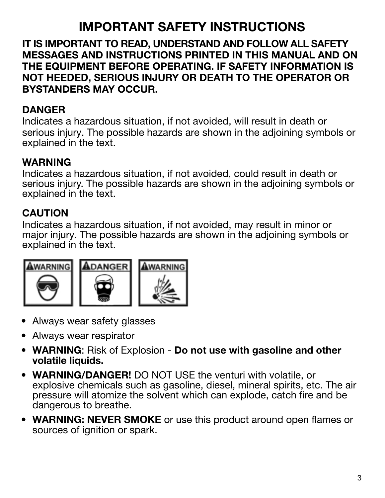### IMPORTANT SAFETY INSTRUCTIONS

IT IS IMPORTANT TO READ, UNDERSTAND AND FOLLOW ALL SAFETY MESSAGES AND INSTRUCTIONS PRINTED IN THIS MANUAL AND ON THE EQUIPMENT BEFORE OPERATING. IF SAFETY INFORMATION IS NOT HEEDED, SERIOUS INJURY OR DEATH TO THE OPERATOR OR BYSTANDERS MAY OCCUR.

#### DANGER

Indicates a hazardous situation, if not avoided, will result in death or serious injury. The possible hazards are shown in the adjoining symbols or explained in the text.

#### WARNING

Indicates a hazardous situation, if not avoided, could result in death or serious injury. The possible hazards are shown in the adjoining symbols or explained in the text.

#### CAUTION

Indicates a hazardous situation, if not avoided, may result in minor or major injury. The possible hazards are shown in the adjoining symbols or explained in the text.







- Always wear safety glasses
- Always wear respirator
- WARNING: Risk of Explosion Do not use with gasoline and other volatile liquids.
- WARNING/DANGER! DO NOT USE the venturi with volatile, or explosive chemicals such as gasoline, diesel, mineral spirits, etc. The air pressure will atomize the solvent which can explode, catch fire and be dangerous to breathe.
- WARNING: NEVER SMOKE or use this product around open flames or sources of ignition or spark.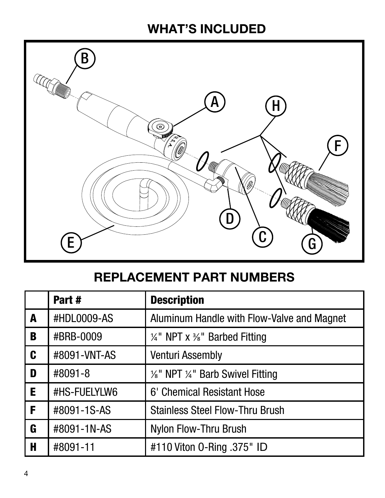### WHAT'S INCLUDED



### REPLACEMENT PART NUMBERS

|   | Part#        | <b>Description</b>                         |
|---|--------------|--------------------------------------------|
| A | #HDL0009-AS  | Aluminum Handle with Flow-Valve and Magnet |
| B | #BRB-0009    | $\frac{1}{4}$ " NPT x %" Barbed Fitting    |
| C | #8091-VNT-AS | Venturi Assembly                           |
| D | #8091-8      | 1/8" NPT 1/4" Barb Swivel Fitting          |
| Е | #HS-FUELYLW6 | 6' Chemical Resistant Hose                 |
| F | #8091-1S-AS  | <b>Stainless Steel Flow-Thru Brush</b>     |
| G | #8091-1N-AS  | Nylon Flow-Thru Brush                      |
| Н | #8091-11     | #110 Viton 0-Ring .375" ID                 |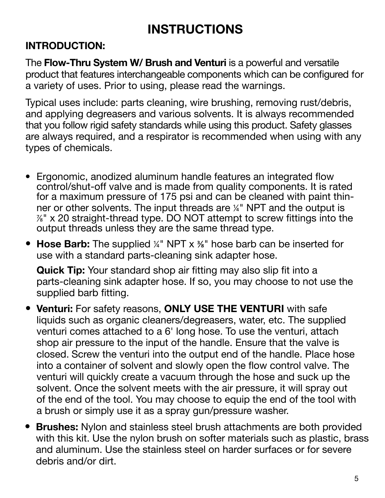### INSTRUCTIONS

#### INTRODUCTION:

The **Flow-Thru System W/ Brush and Venturi** is a powerful and versatile product that features interchangeable components which can be configured for a variety of uses. Prior to using, please read the warnings.

Typical uses include: parts cleaning, wire brushing, removing rust/debris, and applying degreasers and various solvents. It is always recommended that you follow rigid safety standards while using this product. Safety glasses are always required, and a respirator is recommended when using with any types of chemicals.

- Ergonomic, anodized aluminum handle features an integrated flow control/shut-off valve and is made from quality components. It is rated for a maximum pressure of 175 psi and can be cleaned with paint thinner or other solvents. The input threads are ¼" NPT and the output is ⅞" x 20 straight-thread type. DO NOT attempt to screw fittings into the output threads unless they are the same thread type.
- Hose Barb: The supplied ¼" NPT x 3<sup>4</sup> hose barb can be inserted for use with a standard parts-cleaning sink adapter hose.

Quick Tip: Your standard shop air fitting may also slip fit into a parts-cleaning sink adapter hose. If so, you may choose to not use the supplied barb fitting.

- Venturi: For safety reasons, ONLY USE THE VENTURI with safe liquids such as organic cleaners/degreasers, water, etc. The supplied venturi comes attached to a 6' long hose. To use the venturi, attach shop air pressure to the input of the handle. Ensure that the valve is closed. Screw the venturi into the output end of the handle. Place hose into a container of solvent and slowly open the flow control valve. The venturi will quickly create a vacuum through the hose and suck up the solvent. Once the solvent meets with the air pressure, it will spray out of the end of the tool. You may choose to equip the end of the tool with a brush or simply use it as a spray gun/pressure washer.
- Brushes: Nylon and stainless steel brush attachments are both provided with this kit. Use the nylon brush on softer materials such as plastic, brass and aluminum. Use the stainless steel on harder surfaces or for severe debris and/or dirt.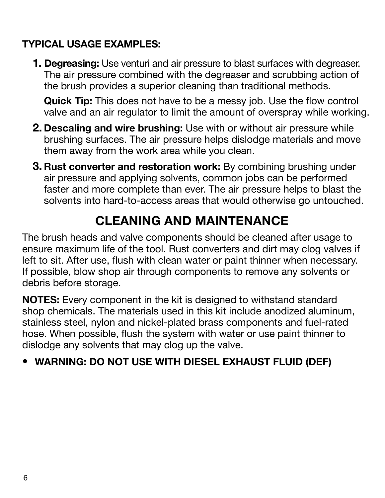#### TYPICAL USAGE EXAMPLES:

**1. Degreasing:** Use venturi and air pressure to blast surfaces with degreaser. The air pressure combined with the degreaser and scrubbing action of the brush provides a superior cleaning than traditional methods.

Quick Tip: This does not have to be a messy job. Use the flow control valve and an air regulator to limit the amount of overspray while working.

- 2. Descaling and wire brushing: Use with or without air pressure while brushing surfaces. The air pressure helps dislodge materials and move them away from the work area while you clean.
- 3. Rust converter and restoration work: By combining brushing under air pressure and applying solvents, common jobs can be performed faster and more complete than ever. The air pressure helps to blast the solvents into hard-to-access areas that would otherwise go untouched.

### CLEANING AND MAINTENANCE

The brush heads and valve components should be cleaned after usage to ensure maximum life of the tool. Rust converters and dirt may clog valves if left to sit. After use, flush with clean water or paint thinner when necessary. If possible, blow shop air through components to remove any solvents or debris before storage.

NOTES: Every component in the kit is designed to withstand standard shop chemicals. The materials used in this kit include anodized aluminum, stainless steel, nylon and nickel-plated brass components and fuel-rated hose. When possible, flush the system with water or use paint thinner to dislodge any solvents that may clog up the valve.

#### • WARNING: DO NOT USE WITH DIESEL EXHAUST FLUID (DEF)